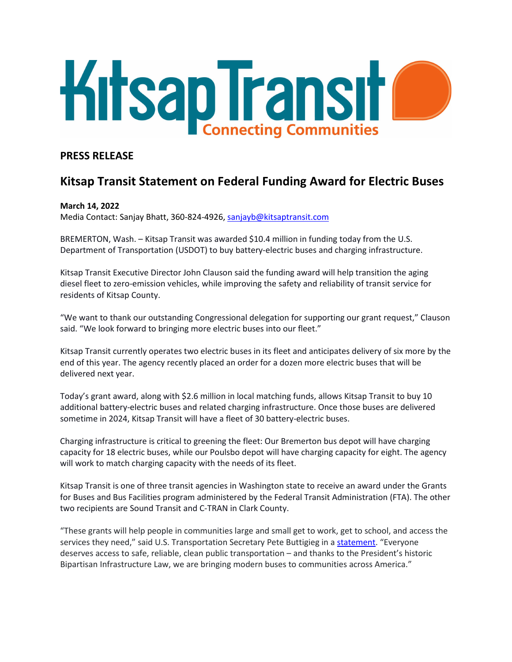

# **PRESS RELEASE**

# **Kitsap Transit Statement on Federal Funding Award for Electric Buses**

## **March 14, 2022**

Media Contact: Sanjay Bhatt, 360-824-4926, [sanjayb@kitsaptransit.com](mailto:sanjayb@kitsaptransit.com)

BREMERTON, Wash. – Kitsap Transit was awarded \$10.4 million in funding today from the U.S. Department of Transportation (USDOT) to buy battery-electric buses and charging infrastructure.

Kitsap Transit Executive Director John Clauson said the funding award will help transition the aging diesel fleet to zero-emission vehicles, while improving the safety and reliability of transit service for residents of Kitsap County.

"We want to thank our outstanding Congressional delegation for supporting our grant request," Clauson said. "We look forward to bringing more electric buses into our fleet."

Kitsap Transit currently operates two electric buses in its fleet and anticipates delivery of six more by the end of this year. The agency recently placed an order for a dozen more electric buses that will be delivered next year.

Today's grant award, along with \$2.6 million in local matching funds, allows Kitsap Transit to buy 10 additional battery-electric buses and related charging infrastructure. Once those buses are delivered sometime in 2024, Kitsap Transit will have a fleet of 30 battery-electric buses.

Charging infrastructure is critical to greening the fleet: Our Bremerton bus depot will have charging capacity for 18 electric buses, while our Poulsbo depot will have charging capacity for eight. The agency will work to match charging capacity with the needs of its fleet.

Kitsap Transit is one of three transit agencies in Washington state to receive an award under the Grants for Buses and Bus Facilities program administered by the Federal Transit Administration (FTA). The other two recipients are Sound Transit and C-TRAN in Clark County.

"These grants will help people in communities large and small get to work, get to school, and access the services they need," said U.S. Transportation Secretary Pete Buttigieg in a [statement.](https://www.transit.dot.gov/about/news/president-biden-and-us-department-transportation-announce-409-million-70-transportation) "Everyone deserves access to safe, reliable, clean public transportation – and thanks to the President's historic Bipartisan Infrastructure Law, we are bringing modern buses to communities across America."